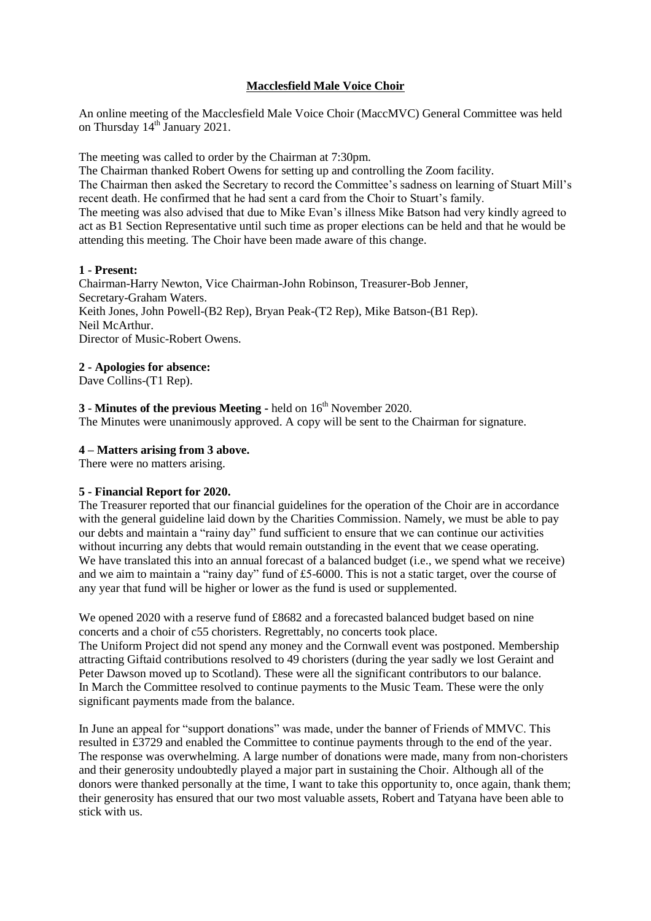# **Macclesfield Male Voice Choir**

An online meeting of the Macclesfield Male Voice Choir (MaccMVC) General Committee was held on Thursday 14<sup>th</sup> January 2021.

The meeting was called to order by the Chairman at 7:30pm.

The Chairman thanked Robert Owens for setting up and controlling the Zoom facility.

The Chairman then asked the Secretary to record the Committee's sadness on learning of Stuart Mill's recent death. He confirmed that he had sent a card from the Choir to Stuart's family.

The meeting was also advised that due to Mike Evan's illness Mike Batson had very kindly agreed to act as B1 Section Representative until such time as proper elections can be held and that he would be attending this meeting. The Choir have been made aware of this change.

#### **1 - Present:**

Chairman-Harry Newton, Vice Chairman-John Robinson, Treasurer-Bob Jenner, Secretary-Graham Waters. Keith Jones, John Powell-(B2 Rep), Bryan Peak-(T2 Rep), Mike Batson-(B1 Rep). Neil McArthur. Director of Music-Robert Owens.

## **2 - Apologies for absence:**

Dave Collins-(T1 Rep).

# **3** - **Minutes of the previous Meeting -** held on 16 th November 2020.

The Minutes were unanimously approved. A copy will be sent to the Chairman for signature.

## **4 – Matters arising from 3 above.**

There were no matters arising.

#### **5 - Financial Report for 2020.**

The Treasurer reported that our financial guidelines for the operation of the Choir are in accordance with the general guideline laid down by the Charities Commission. Namely, we must be able to pay our debts and maintain a "rainy day" fund sufficient to ensure that we can continue our activities without incurring any debts that would remain outstanding in the event that we cease operating. We have translated this into an annual forecast of a balanced budget (i.e., we spend what we receive) and we aim to maintain a "rainy day" fund of £5-6000. This is not a static target, over the course of any year that fund will be higher or lower as the fund is used or supplemented.

We opened 2020 with a reserve fund of £8682 and a forecasted balanced budget based on nine concerts and a choir of c55 choristers. Regrettably, no concerts took place. The Uniform Project did not spend any money and the Cornwall event was postponed. Membership attracting Giftaid contributions resolved to 49 choristers (during the year sadly we lost Geraint and Peter Dawson moved up to Scotland). These were all the significant contributors to our balance. In March the Committee resolved to continue payments to the Music Team. These were the only significant payments made from the balance.

In June an appeal for "support donations" was made, under the banner of Friends of MMVC. This resulted in £3729 and enabled the Committee to continue payments through to the end of the year. The response was overwhelming. A large number of donations were made, many from non-choristers and their generosity undoubtedly played a major part in sustaining the Choir. Although all of the donors were thanked personally at the time, I want to take this opportunity to, once again, thank them; their generosity has ensured that our two most valuable assets, Robert and Tatyana have been able to stick with us.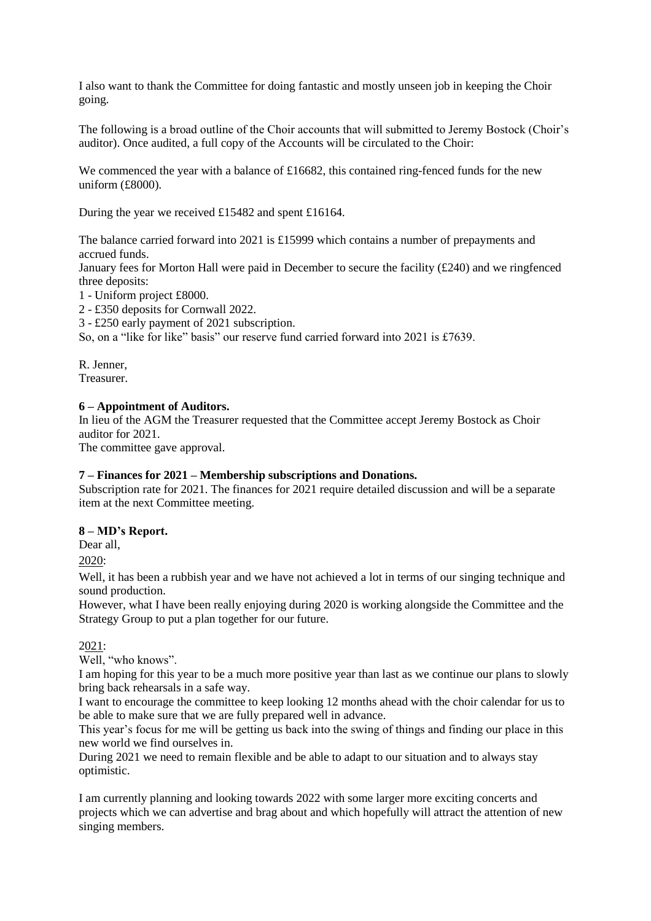I also want to thank the Committee for doing fantastic and mostly unseen job in keeping the Choir going.

The following is a broad outline of the Choir accounts that will submitted to Jeremy Bostock (Choir's auditor). Once audited, a full copy of the Accounts will be circulated to the Choir:

We commenced the year with a balance of £16682, this contained ring-fenced funds for the new uniform (£8000).

During the year we received £15482 and spent £16164.

The balance carried forward into 2021 is £15999 which contains a number of prepayments and accrued funds.

January fees for Morton Hall were paid in December to secure the facility  $(E240)$  and we ringfenced three deposits:

1 - Uniform project £8000.

2 - £350 deposits for Cornwall 2022.

3 - £250 early payment of 2021 subscription.

So, on a "like for like" basis" our reserve fund carried forward into 2021 is £7639.

R. Jenner, Treasurer.

#### **6 – Appointment of Auditors.**

In lieu of the AGM the Treasurer requested that the Committee accept Jeremy Bostock as Choir auditor for 2021.

The committee gave approval.

#### **7 – Finances for 2021 – Membership subscriptions and Donations.**

Subscription rate for 2021. The finances for 2021 require detailed discussion and will be a separate item at the next Committee meeting.

#### **8 – MD's Report.**

Dear all,

2020:

Well, it has been a rubbish year and we have not achieved a lot in terms of our singing technique and sound production.

However, what I have been really enjoying during 2020 is working alongside the Committee and the Strategy Group to put a plan together for our future.

2021:

Well, "who knows".

I am hoping for this year to be a much more positive year than last as we continue our plans to slowly bring back rehearsals in a safe way.

I want to encourage the committee to keep looking 12 months ahead with the choir calendar for us to be able to make sure that we are fully prepared well in advance.

This year's focus for me will be getting us back into the swing of things and finding our place in this new world we find ourselves in.

During 2021 we need to remain flexible and be able to adapt to our situation and to always stay optimistic.

I am currently planning and looking towards 2022 with some larger more exciting concerts and projects which we can advertise and brag about and which hopefully will attract the attention of new singing members.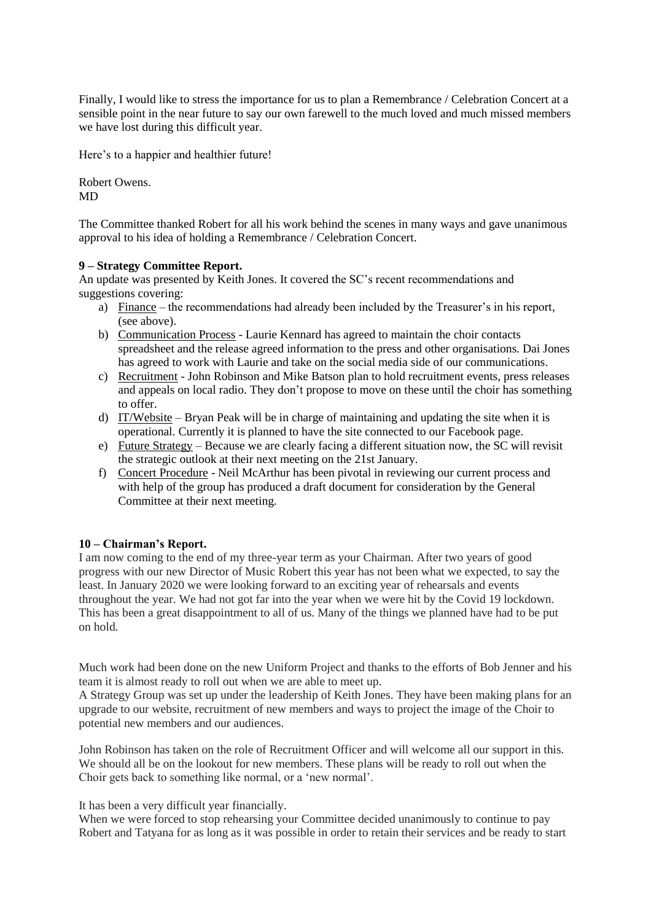Finally, I would like to stress the importance for us to plan a Remembrance / Celebration Concert at a sensible point in the near future to say our own farewell to the much loved and much missed members we have lost during this difficult year.

Here's to a happier and healthier future!

Robert Owens. MD

The Committee thanked Robert for all his work behind the scenes in many ways and gave unanimous approval to his idea of holding a Remembrance / Celebration Concert.

## **9 – Strategy Committee Report.**

An update was presented by Keith Jones. It covered the SC's recent recommendations and suggestions covering:

- a) Finance the recommendations had already been included by the Treasurer's in his report, (see above).
- b) Communication Process Laurie Kennard has agreed to maintain the choir contacts spreadsheet and the release agreed information to the press and other organisations. Dai Jones has agreed to work with Laurie and take on the social media side of our communications.
- c) Recruitment John Robinson and Mike Batson plan to hold recruitment events, press releases and appeals on local radio. They don't propose to move on these until the choir has something to offer.
- d) IT/Website Bryan Peak will be in charge of maintaining and updating the site when it is operational. Currently it is planned to have the site connected to our Facebook page.
- e) Future Strategy Because we are clearly facing a different situation now, the SC will revisit the strategic outlook at their next meeting on the 21st January.
- f) Concert Procedure Neil McArthur has been pivotal in reviewing our current process and with help of the group has produced a draft document for consideration by the General Committee at their next meeting.

# **10 – Chairman's Report.**

I am now coming to the end of my three-year term as your Chairman. After two years of good progress with our new Director of Music Robert this year has not been what we expected, to say the least. In January 2020 we were looking forward to an exciting year of rehearsals and events throughout the year. We had not got far into the year when we were hit by the Covid 19 lockdown. This has been a great disappointment to all of us. Many of the things we planned have had to be put on hold.

Much work had been done on the new Uniform Project and thanks to the efforts of Bob Jenner and his team it is almost ready to roll out when we are able to meet up.

A Strategy Group was set up under the leadership of Keith Jones. They have been making plans for an upgrade to our website, recruitment of new members and ways to project the image of the Choir to potential new members and our audiences.

John Robinson has taken on the role of Recruitment Officer and will welcome all our support in this. We should all be on the lookout for new members. These plans will be ready to roll out when the Choir gets back to something like normal, or a 'new normal'.

It has been a very difficult year financially.

When we were forced to stop rehearsing your Committee decided unanimously to continue to pay Robert and Tatyana for as long as it was possible in order to retain their services and be ready to start